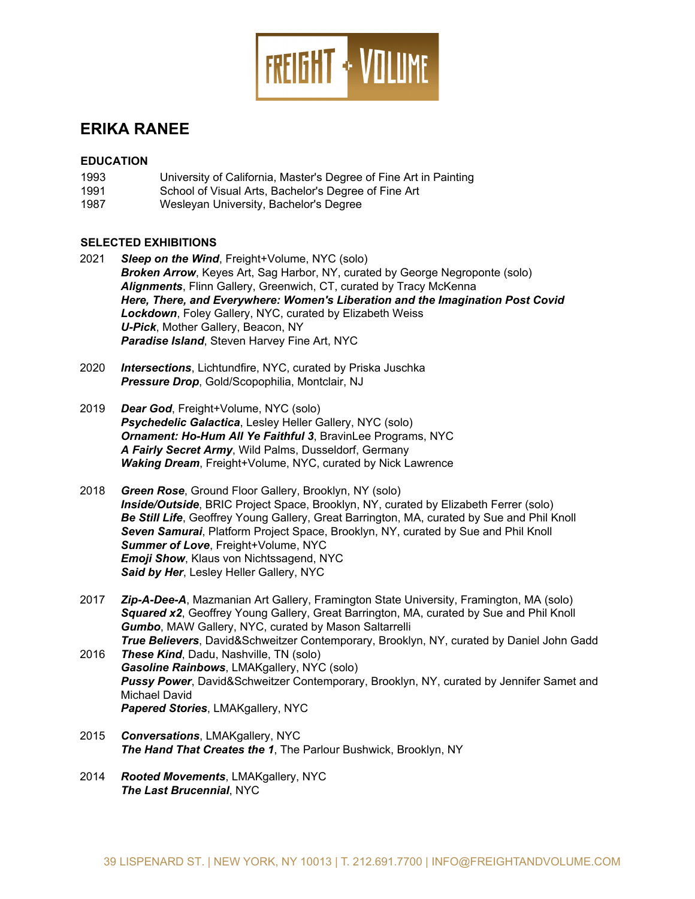

# **ERIKA RANEE**

### **EDUCATION**

- 1993 University of California, Master's Degree of Fine Art in Painting
- 1991 School of Visual Arts, Bachelor's Degree of Fine Art
- 1987 Wesleyan University, Bachelor's Degree

## **SELECTED EXHIBITIONS**

- 2021 *Sleep on the Wind*, Freight+Volume, NYC (solo) *Broken Arrow*, Keyes Art, Sag Harbor, NY, curated by George Negroponte (solo) *Alignments*, Flinn Gallery, Greenwich, CT, curated by Tracy McKenna *Here, There, and Everywhere: Women's Liberation and the Imagination Post Covid Lockdown*, Foley Gallery, NYC, curated by Elizabeth Weiss *U-Pick*, Mother Gallery, Beacon, NY *Paradise Island*, Steven Harvey Fine Art, NYC
- 2020 *Intersections*, Lichtundfire, NYC, curated by Priska Juschka *Pressure Drop*, Gold/Scopophilia, Montclair, NJ
- 2019 *Dear God*, Freight+Volume, NYC (solo) *Psychedelic Galactica*, Lesley Heller Gallery, NYC (solo) *Ornament: Ho-Hum All Ye Faithful 3*, BravinLee Programs, NYC *A Fairly Secret Army*, Wild Palms, Dusseldorf, Germany *Waking Dream*, Freight+Volume, NYC, curated by Nick Lawrence
- 2018 *Green Rose*, Ground Floor Gallery, Brooklyn, NY (solo) *Inside/Outside*, BRIC Project Space, Brooklyn, NY, curated by Elizabeth Ferrer (solo) *Be Still Life*, Geoffrey Young Gallery, Great Barrington, MA, curated by Sue and Phil Knoll *Seven Samurai*, Platform Project Space, Brooklyn, NY, curated by Sue and Phil Knoll **Summer of Love**, Freight+Volume, NYC *Emoji Show*, Klaus von Nichtssagend, NYC *Said by Her*, Lesley Heller Gallery, NYC
- 2017 *Zip-A-Dee-A*, Mazmanian Art Gallery, Framington State University, Framington, MA (solo)  *Squared x2*, Geoffrey Young Gallery, Great Barrington, MA, curated by Sue and Phil Knoll *Gumbo*, MAW Gallery, NYC, curated by Mason Saltarrelli *True Believers*, David&Schweitzer Contemporary, Brooklyn, NY, curated by Daniel John Gadd
- 2016 *These Kind*, Dadu, Nashville, TN (solo) *Gasoline Rainbows*, LMAKgallery, NYC (solo) *Pussy Power*, David&Schweitzer Contemporary, Brooklyn, NY, curated by Jennifer Samet and Michael David *Papered Stories*, LMAKgallery, NYC
- 2015 *Conversations*, LMAKgallery, NYC *The Hand That Creates the 1*, The Parlour Bushwick, Brooklyn, NY
- 2014 *Rooted Movements*, LMAKgallery, NYC *The Last Brucennial*, NYC